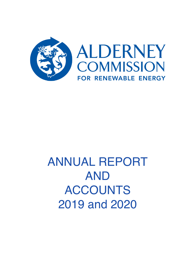

# ANNUAL REPORT AND ACCOUNTS 2019 and 2020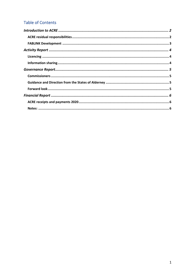# **Table of Contents**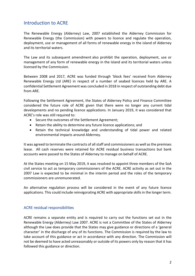## Introduction to ACRE

The Renewable Energy (Alderney) Law, 2007 established the Alderney Commission for Renewable Energy (the Commission) with powers to licence and regulate the operation, deployment, use or management of all forms of renewable energy in the island of Alderney and its territorial waters.

The Law and its subsequent amendment also prohibit the operation, deployment, use or management of any form of renewable energy in the Island and its territorial waters unless licensed by the Commission.

Between 2008 and 2017, ACRE was funded through 'block fees' received from Alderney Renewable Energy Ltd (ARE) in respect of a number of seabed licences held by ARE. A confidential Settlement Agreement was concluded in 2018 in respect of outstanding debt due from ARE.

Following the Settlement Agreement, the States of Alderney Policy and Finance Committee considered the future role of ACRE given that there were no longer any current tidal developments and no pending licence applications. In January 2019, it was considered that ACRE's role was still required to:

- Secure the outcomes of the Settlement Agreement;
- Retain the ability to determine any future licence applications; and
- Retain the technical knowledge and understanding of tidal power and related environmental impacts around Alderney.

It was agreed to terminate the contracts of all staff and commissioners as well as the premises lease. All cash reserves were retained for ACRE residual business transactions but bank accounts were passed to the States of Alderney to manage on behalf of ACRE.

At the States meeting on 15 May 2019, it was resolved to appoint three members of the SoA civil service to act as temporary commissioners of the ACRE. ACRE activity as set out in the 2007 Law is expected to be minimal in the interim period and the roles of the temporary commissioners are unremunerated.

An alternative regulation process will be considered in the event of any future licence applications. This could include reinvigorating ACRE with appropriate skills in the longer term.

#### ACRE residual responsibilities

ACRE remains a separate entity and is required to carry out the functions set out in the Renewable Energy (Alderney) Law 2007. ACRE is not a Committee of the States of Alderney although the Law does provide that the States may give guidance or directions of a 'general character' in the discharge of any of its functions. The Commission is required by the law to take account of this guidance or act in accordance with any direction. The Commission will not be deemed to have acted unreasonably or outside of its powers only by reason that it has followed this guidance or direction.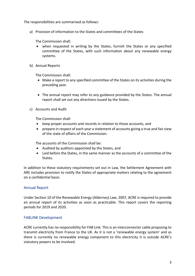The responsibilities are summarised as follows:

a) Provision of information to the States and committees of the States

The Commission shall:

- when requested in writing by the States, furnish the States or any specified committee of the States, with such information about any renewable energy systems.
- b) Annual Reports

The Commission shall:

- Make a report to any specified committee of the States on its activities during the preceding year.
- The annual report may refer to any guidance provided by the States. The annual report shall set out any directions issued by the States.
- c) Accounts and Audit

The Commission shall:

- keep proper accounts and records in relation to those accounts, and
- prepare in respect of each year a statement of accounts giving a true and fair view of the state of affairs of the Commission.

The accounts of the Commission shall be:

- Audited by auditors appointed by the States, and
- Laid before the States, in the same manner as the accounts of a committee of the States.

In addition to these statutory requirements set out in Law, the Settlement Agreement with ARE includes provision to notify the States of appropriate matters relating to the agreement on a confidential basis.

## Annual Report

Under Section 10 of the Renewable Energy (Alderney) Law, 2007, ACRE is required to provide an annual report of its activities as soon as practicable. This report covers the reporting periods for 2019 and 2020.

#### FABLINK Development

ACRE currently has no responsibility for FAB Link. This is an interconnector cable proposing to transmit electricity from France to the UK. As it is not a 'renewable energy system' and as there is currently no renewable energy component to this electricity it is outside ACRE's statutory powers to be involved.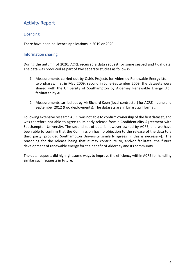# Activity Report

## **Licencing**

There have been no licence applications in 2019 or 2020.

## Information sharing

During the autumn of 2020, ACRE received a data request for some seabed and tidal data. The data was produced as part of two separate studies as follows:-

- 1. Measurements carried out by Osiris Projects for Alderney Renewable Energy Ltd. in two phases, first in May 2009; second in June-September 2009. the datasets were shared with the University of Southampton by Alderney Renewable Energy Ltd., facilitated by ACRE.
- 2. Measurements carried out by Mr Richard Keen (local contractor) for ACRE in June and September 2012 (two deployments). The datasets are in binary .prf format.

Following extensive research ACRE was not able to confirm ownership of the first dataset, and was therefore not able to agree to its early release from a Confidentiality Agreement with Southampton University. The second set of data is however owned by ACRE, and we have been able to confirm that the Commission has no objection to the release of the data to a third party, provided Southampton University similarly agrees (if this is necessary). The reasoning for the release being that it may contribute to, and/or facilitate, the future development of renewable energy for the benefit of Alderney and its community.

The data requests did highlight some ways to improve the efficiency within ACRE for handling similar such requests in future.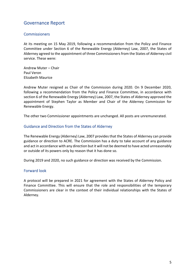## Governance Report

## **Commissioners**

At its meeting on 15 May 2019, following a recommendation from the Policy and Finance Committee under Section 6 of the Renewable Energy (Alderney) Law, 2007, the States of Alderney agreed to the appointment of three Commissioners from the States of Alderney civil service. These were:

Andrew Muter – Chair Paul Veron Elizabeth Maurice

Andrew Muter resigned as Chair of the Commission during 2020. On 9 December 2020, following a recommendation from the Policy and Finance Committee, in accordance with section 6 of the Renewable Energy (Alderney) Law, 2007, the States of Alderney approved the appointment of Stephen Taylor as Member and Chair of the Alderney Commission for Renewable Energy.

The other two Commissioner appointments are unchanged. All posts are unremunerated.

#### Guidance and Direction from the States of Alderney

The Renewable Energy (Alderney) Law, 2007 provides that the States of Alderney can provide guidance or direction to ACRE. The Commission has a duty to take account of any guidance and act in accordance with any direction but it will not be deemed to have acted unreasonably or outside of its powers only by reason that it has done so.

During 2019 and 2020, no such guidance or direction was received by the Commission.

#### Forward look

A protocol will be prepared in 2021 for agreement with the States of Alderney Policy and Finance Committee. This will ensure that the role and responsibilities of the temporary Commissioners are clear in the context of their individual relationships with the States of Alderney.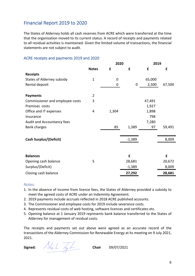# Financial Report 2019 to 2020

The States of Alderney holds all cash reserves from ACRE which were transferred at the time that the organisation moved to its current status. A record of receipts and payments related to all residual activities is maintained. Given the limited volume of transactions, the financial statements are not subject to audit.

## ACRE receipts and payments 2019 and 2020

|                                 |                | 2020  |             | 2019   |        |
|---------------------------------|----------------|-------|-------------|--------|--------|
|                                 | <b>Notes</b>   | £     | £           | £      | £      |
| <b>Receipts</b>                 |                |       |             |        |        |
| States of Alderney subsidy      | $\mathbf{1}$   | 0     |             | 65,000 |        |
| Rental deposit                  |                | 0     | $\mathbf 0$ | 2,500  | 67,500 |
| <b>Payments</b>                 | $\overline{2}$ |       |             |        |        |
| Commissioner and employee costs | 3              |       |             | 47,491 |        |
| Premises costs                  |                |       |             | 1,927  |        |
| Office and IT expenses          | 4              | 1,304 |             | 1,898  |        |
| Insurance                       |                |       |             | 798    |        |
| Audit and Accountancy fees      |                |       |             | 7,280  |        |
| <b>Bank charges</b>             |                | 85    | 1,389       | 97     | 59,491 |
| <b>Cash Surplus/(Deficit)</b>   |                |       | $-1,389$    |        | 8,009  |
|                                 |                |       |             |        |        |
| <b>Balances</b>                 |                |       | £           |        | £      |
| Opening cash balance            | 5              |       | 28,681      |        | 20,672 |
| Surplus/(Deficit)               |                |       | $-1,389$    |        | 8,009  |
| Closing cash balance            |                |       | 27,292      |        | 28,681 |

#### Notes:

- 1. In the absence of income from licence fees, the States of Alderney provided a subsidy to meet the agreed costs of ACRE under an Indemnity Agreement.
- 2. 2019 payments include accruals reflected in 2018 ACRE published accounts.
- 3. The Commissioner and employee costs for 2019 include severance costs.
- 4. Represents residual costs of web hosting, software licences and certificates etc.
- 5. Opening balance at 1 January 2019 represents bank balance transferred to the States of Alderney for management of residual costs.

The receipts and payments set out above were agreed as an accurate record of the transactions of the Alderney Commission for Renewable Energy at its meeting on 9 July 2021, 2021.

**Signed:** Alexander Lay Let **Chair** 09/07/2021